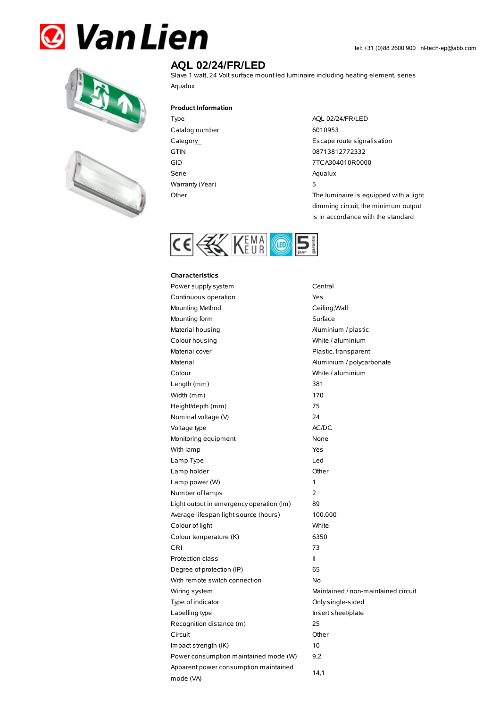# **& Van Lien**





## **AQL 02/24/FR/LED**

Slave 1 watt, 24 Volt surface mount led luminaire including heating element, series Aqualux

#### **Product Information**

Catalog number 6010953 Serie Aqualux Warranty(Year) 5

Type AQL 02/24/FR/LED Category\_ **Escape route signalisation** GTIN 08713812772332 GID 7TCA304010R0000 Other The luminaire is equipped with a light dimming circuit, the minimum output is in accordance with the standard



#### **Characteristics**

| Power supply system                                | Central                             |
|----------------------------------------------------|-------------------------------------|
| Continuous operation                               | Yes                                 |
| Mounting Method                                    | Ceiling; Wall                       |
| Mounting form                                      | Surface                             |
| Material housing                                   | Aluminium / plastic                 |
| Colour housing                                     | White / aluminium                   |
| Material cover                                     | Plastic, transparent                |
| Material                                           | Aluminium / polycarbonate           |
| Colour                                             | White / aluminium                   |
| Length (mm)                                        | 381                                 |
| Width (mm)                                         | 170                                 |
| Height/depth (mm)                                  | 75                                  |
| Nominal voltage (V)                                | 24                                  |
| Voltage type                                       | AC/DC                               |
| Monitoring equipment                               | None                                |
| With lamp                                          | Yes                                 |
| Lamp Type                                          | Led                                 |
| Lamp holder                                        | Other                               |
| Lamp power (W)                                     | 1                                   |
| Number of lamps                                    | $\overline{2}$                      |
| Light output in emergency operation (lm)           | 89                                  |
| Average lifespan light source (hours)              | 100.000                             |
| Colour of light                                    | White                               |
| Colour temperature (K)                             | 6350                                |
| <b>CRI</b>                                         | 73                                  |
| Protection class                                   | Ш                                   |
| Degree of protection (IP)                          | 65                                  |
| With remote switch connection                      | <b>No</b>                           |
| Wiring system                                      | Maintained / non-maintained circuit |
| Type of indicator                                  | Only single-sided                   |
| Labelling type                                     | Insert sheet/plate                  |
| Recognition distance (m)                           | 25                                  |
| Circuit                                            | Other                               |
| Impact strength (IK)                               | 10                                  |
| Power consumption maintained mode (W)              | 9,2                                 |
| Apparent power consumption maintained<br>mode (VA) | 14,1                                |